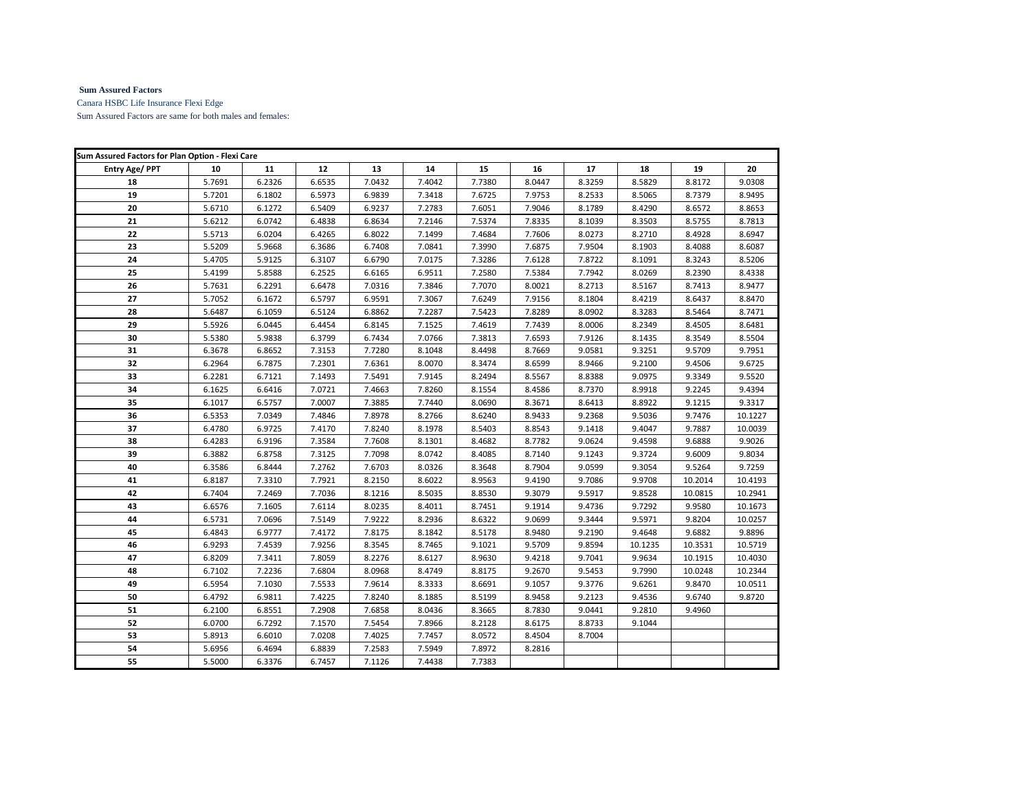## **Sum Assured Factors**

Canara HSBC Life Insurance Flexi Edge

Sum Assured Factors are same for both males and females:

| Sum Assured Factors for Plan Option - Flexi Care |        |        |        |        |        |        |        |        |         |         |         |
|--------------------------------------------------|--------|--------|--------|--------|--------|--------|--------|--------|---------|---------|---------|
| <b>Entry Age/ PPT</b>                            | 10     | 11     | 12     | 13     | 14     | 15     | 16     | 17     | 18      | 19      | 20      |
| 18                                               | 5.7691 | 6.2326 | 6.6535 | 7.0432 | 7.4042 | 7.7380 | 8.0447 | 8.3259 | 8.5829  | 8.8172  | 9.0308  |
| 19                                               | 5.7201 | 6.1802 | 6.5973 | 6.9839 | 7.3418 | 7.6725 | 7.9753 | 8.2533 | 8.5065  | 8.7379  | 8.9495  |
| 20                                               | 5.6710 | 6.1272 | 6.5409 | 6.9237 | 7.2783 | 7.6051 | 7.9046 | 8.1789 | 8.4290  | 8.6572  | 8.8653  |
| 21                                               | 5.6212 | 6.0742 | 6.4838 | 6.8634 | 7.2146 | 7.5374 | 7.8335 | 8.1039 | 8.3503  | 8.5755  | 8.7813  |
| 22                                               | 5.5713 | 6.0204 | 6.4265 | 6.8022 | 7.1499 | 7.4684 | 7.7606 | 8.0273 | 8.2710  | 8.4928  | 8.6947  |
| 23                                               | 5.5209 | 5.9668 | 6.3686 | 6.7408 | 7.0841 | 7.3990 | 7.6875 | 7.9504 | 8.1903  | 8.4088  | 8.6087  |
| 24                                               | 5.4705 | 5.9125 | 6.3107 | 6.6790 | 7.0175 | 7.3286 | 7.6128 | 7.8722 | 8.1091  | 8.3243  | 8.5206  |
| 25                                               | 5.4199 | 5.8588 | 6.2525 | 6.6165 | 6.9511 | 7.2580 | 7.5384 | 7.7942 | 8.0269  | 8.2390  | 8.4338  |
| 26                                               | 5.7631 | 6.2291 | 6.6478 | 7.0316 | 7.3846 | 7.7070 | 8.0021 | 8.2713 | 8.5167  | 8.7413  | 8.9477  |
| 27                                               | 5.7052 | 6.1672 | 6.5797 | 6.9591 | 7.3067 | 7.6249 | 7.9156 | 8.1804 | 8.4219  | 8.6437  | 8.8470  |
| 28                                               | 5.6487 | 6.1059 | 6.5124 | 6.8862 | 7.2287 | 7.5423 | 7.8289 | 8.0902 | 8.3283  | 8.5464  | 8.7471  |
| 29                                               | 5.5926 | 6.0445 | 6.4454 | 6.8145 | 7.1525 | 7.4619 | 7.7439 | 8.0006 | 8.2349  | 8.4505  | 8.6481  |
| 30                                               | 5.5380 | 5.9838 | 6.3799 | 6.7434 | 7.0766 | 7.3813 | 7.6593 | 7.9126 | 8.1435  | 8.3549  | 8.5504  |
| 31                                               | 6.3678 | 6.8652 | 7.3153 | 7.7280 | 8.1048 | 8.4498 | 8.7669 | 9.0581 | 9.3251  | 9.5709  | 9.7951  |
| 32                                               | 6.2964 | 6.7875 | 7.2301 | 7.6361 | 8.0070 | 8.3474 | 8.6599 | 8.9466 | 9.2100  | 9.4506  | 9.6725  |
| 33                                               | 6.2281 | 6.7121 | 7.1493 | 7.5491 | 7.9145 | 8.2494 | 8.5567 | 8.8388 | 9.0975  | 9.3349  | 9.5520  |
| 34                                               | 6.1625 | 6.6416 | 7.0721 | 7.4663 | 7.8260 | 8.1554 | 8.4586 | 8.7370 | 8.9918  | 9.2245  | 9.4394  |
| 35                                               | 6.1017 | 6.5757 | 7.0007 | 7.3885 | 7.7440 | 8.0690 | 8.3671 | 8.6413 | 8.8922  | 9.1215  | 9.3317  |
| 36                                               | 6.5353 | 7.0349 | 7.4846 | 7.8978 | 8.2766 | 8.6240 | 8.9433 | 9.2368 | 9.5036  | 9.7476  | 10.1227 |
| 37                                               | 6.4780 | 6.9725 | 7.4170 | 7.8240 | 8.1978 | 8.5403 | 8.8543 | 9.1418 | 9.4047  | 9.7887  | 10.0039 |
| 38                                               | 6.4283 | 6.9196 | 7.3584 | 7.7608 | 8.1301 | 8.4682 | 8.7782 | 9.0624 | 9.4598  | 9.6888  | 9.9026  |
| 39                                               | 6.3882 | 6.8758 | 7.3125 | 7.7098 | 8.0742 | 8.4085 | 8.7140 | 9.1243 | 9.3724  | 9.6009  | 9.8034  |
| 40                                               | 6.3586 | 6.8444 | 7.2762 | 7.6703 | 8.0326 | 8.3648 | 8.7904 | 9.0599 | 9.3054  | 9.5264  | 9.7259  |
| 41                                               | 6.8187 | 7.3310 | 7.7921 | 8.2150 | 8.6022 | 8.9563 | 9.4190 | 9.7086 | 9.9708  | 10.2014 | 10.4193 |
| 42                                               | 6.7404 | 7.2469 | 7.7036 | 8.1216 | 8.5035 | 8.8530 | 9.3079 | 9.5917 | 9.8528  | 10.0815 | 10.2941 |
| 43                                               | 6.6576 | 7.1605 | 7.6114 | 8.0235 | 8.4011 | 8.7451 | 9.1914 | 9.4736 | 9.7292  | 9.9580  | 10.1673 |
| 44                                               | 6.5731 | 7.0696 | 7.5149 | 7.9222 | 8.2936 | 8.6322 | 9.0699 | 9.3444 | 9.5971  | 9.8204  | 10.0257 |
| 45                                               | 6.4843 | 6.9777 | 7.4172 | 7.8175 | 8.1842 | 8.5178 | 8.9480 | 9.2190 | 9.4648  | 9.6882  | 9.8896  |
| 46                                               | 6.9293 | 7.4539 | 7.9256 | 8.3545 | 8.7465 | 9.1021 | 9.5709 | 9.8594 | 10.1235 | 10.3531 | 10.5719 |
| 47                                               | 6.8209 | 7.3411 | 7.8059 | 8.2276 | 8.6127 | 8.9630 | 9.4218 | 9.7041 | 9.9634  | 10.1915 | 10.4030 |
| 48                                               | 6.7102 | 7.2236 | 7.6804 | 8.0968 | 8.4749 | 8.8175 | 9.2670 | 9.5453 | 9.7990  | 10.0248 | 10.2344 |
| 49                                               | 6.5954 | 7.1030 | 7.5533 | 7.9614 | 8.3333 | 8.6691 | 9.1057 | 9.3776 | 9.6261  | 9.8470  | 10.0511 |
| 50                                               | 6.4792 | 6.9811 | 7.4225 | 7.8240 | 8.1885 | 8.5199 | 8.9458 | 9.2123 | 9.4536  | 9.6740  | 9.8720  |
| 51                                               | 6.2100 | 6.8551 | 7.2908 | 7.6858 | 8.0436 | 8.3665 | 8.7830 | 9.0441 | 9.2810  | 9.4960  |         |
| 52                                               | 6.0700 | 6.7292 | 7.1570 | 7.5454 | 7.8966 | 8.2128 | 8.6175 | 8.8733 | 9.1044  |         |         |
| 53                                               | 5.8913 | 6.6010 | 7.0208 | 7.4025 | 7.7457 | 8.0572 | 8.4504 | 8.7004 |         |         |         |
| 54                                               | 5.6956 | 6.4694 | 6.8839 | 7.2583 | 7.5949 | 7.8972 | 8.2816 |        |         |         |         |
| 55                                               | 5.5000 | 6.3376 | 6.7457 | 7.1126 | 7.4438 | 7.7383 |        |        |         |         |         |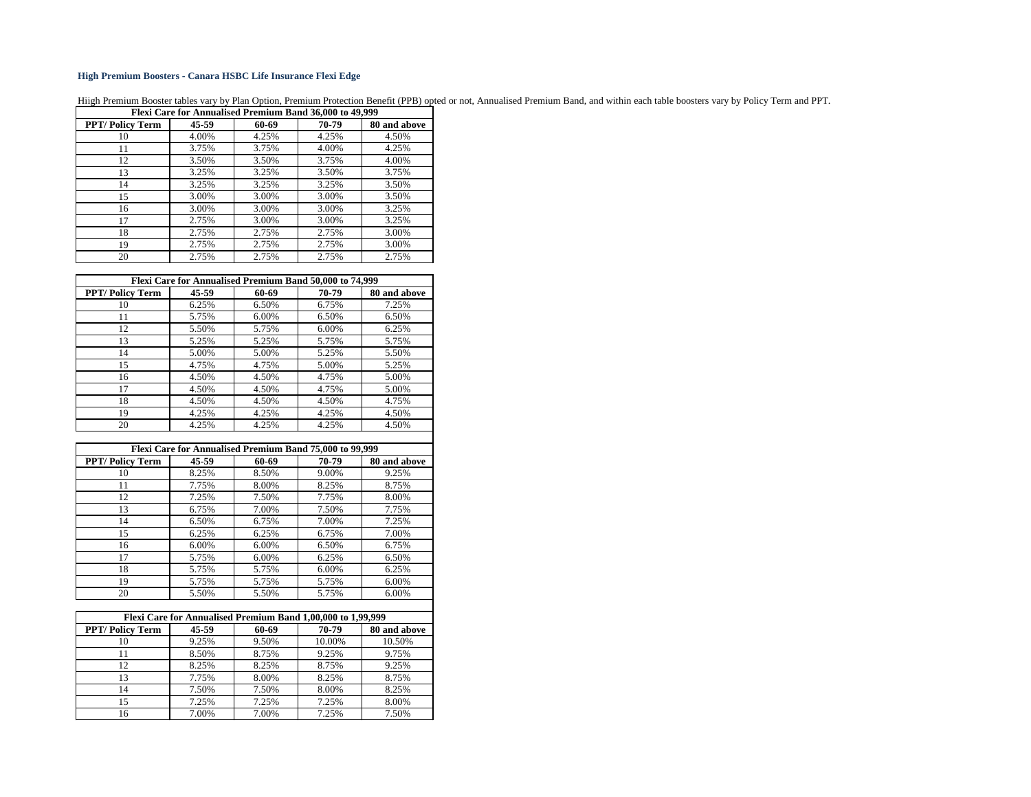## **High Premium Boosters - Canara HSBC Life Insurance Flexi Edge**

Hiigh Premium Booster tables vary by Plan Option, Premium Protection Benefit (PPB) opted or not, Annualised Premium Band, and within each table boosters vary by Policy Term and PPT.

| Flexi Care for Annualised Premium Band 36,000 to 49,999 |       |       |       |              |  |  |  |
|---------------------------------------------------------|-------|-------|-------|--------------|--|--|--|
| <b>PPT/Policy Term</b>                                  | 45-59 | 60-69 | 70-79 | 80 and above |  |  |  |
| 10                                                      | 4.00% | 4.25% | 4.25% | 4.50%        |  |  |  |
| 11                                                      | 3.75% | 3.75% | 4.00% | 4.25%        |  |  |  |
| 12                                                      | 3.50% | 3.50% | 3.75% | 4.00%        |  |  |  |
| 13                                                      | 3.25% | 3.25% | 3.50% | 3.75%        |  |  |  |
| 14                                                      | 3.25% | 3.25% | 3.25% | 3.50%        |  |  |  |
| 15                                                      | 3.00% | 3.00% | 3.00% | 3.50%        |  |  |  |
| 16                                                      | 3.00% | 3.00% | 3.00% | 3.25%        |  |  |  |
| 17                                                      | 2.75% | 3.00% | 3.00% | 3.25%        |  |  |  |
| 18                                                      | 2.75% | 2.75% | 2.75% | 3.00%        |  |  |  |
| 19                                                      | 2.75% | 2.75% | 2.75% | 3.00%        |  |  |  |
| 20                                                      | 2.75% | 2.75% | 2.75% | 2.75%        |  |  |  |

| Flexi Care for Annualised Premium Band 50,000 to 74,999 |           |       |       |              |  |  |  |
|---------------------------------------------------------|-----------|-------|-------|--------------|--|--|--|
| <b>PPT/Policy Term</b>                                  | $45 - 59$ | 60-69 | 70-79 | 80 and above |  |  |  |
| 10                                                      | 6.25%     | 6.50% | 6.75% | 7.25%        |  |  |  |
| 11                                                      | 5.75%     | 6.00% | 6.50% | 6.50%        |  |  |  |
| 12                                                      | 5.50%     | 5.75% | 6.00% | 6.25%        |  |  |  |
| 13                                                      | 5.25%     | 5.25% | 5.75% | 5.75%        |  |  |  |
| 14                                                      | 5.00%     | 5.00% | 5.25% | 5.50%        |  |  |  |
| 15                                                      | 4.75%     | 4.75% | 5.00% | 5.25%        |  |  |  |
| 16                                                      | 4.50%     | 4.50% | 4.75% | 5.00%        |  |  |  |
| 17                                                      | 4.50%     | 4.50% | 4.75% | 5.00%        |  |  |  |
| 18                                                      | 4.50%     | 4.50% | 4.50% | 4.75%        |  |  |  |
| 19                                                      | 4.25%     | 4.25% | 4.25% | 4.50%        |  |  |  |
| 20                                                      | 4.25%     | 4.25% | 4.25% | 4.50%        |  |  |  |

| Flexi Care for Annualised Premium Band 75,000 to 99,999 |       |       |       |              |  |  |  |
|---------------------------------------------------------|-------|-------|-------|--------------|--|--|--|
| <b>PPT/Policy Term</b>                                  | 45-59 | 60-69 | 70-79 | 80 and above |  |  |  |
| 10                                                      | 8.25% | 8.50% | 9.00% | 9.25%        |  |  |  |
| 11                                                      | 7.75% | 8.00% | 8.25% | 8.75%        |  |  |  |
| 12                                                      | 7.25% | 7.50% | 7.75% | 8.00%        |  |  |  |
| 13                                                      | 6.75% | 7.00% | 7.50% | 7.75%        |  |  |  |
| 14                                                      | 6.50% | 6.75% | 7.00% | 7.25%        |  |  |  |
| 15                                                      | 6.25% | 6.25% | 6.75% | 7.00%        |  |  |  |
| 16                                                      | 6.00% | 6.00% | 6.50% | 6.75%        |  |  |  |
| 17                                                      | 5.75% | 6.00% | 6.25% | 6.50%        |  |  |  |
| 18                                                      | 5.75% | 5.75% | 6.00% | 6.25%        |  |  |  |
| 19                                                      | 5.75% | 5.75% | 5.75% | 6.00%        |  |  |  |
| 20                                                      | 5.50% | 5.50% | 5.75% | 6.00%        |  |  |  |

| Flexi Care for Annualised Premium Band 1,00,000 to 1,99,999 |       |       |        |              |  |  |  |
|-------------------------------------------------------------|-------|-------|--------|--------------|--|--|--|
| <b>PPT/Policy Term</b>                                      | 45-59 | 60-69 | 70-79  | 80 and above |  |  |  |
| 10                                                          | 9.25% | 9.50% | 10.00% | 10.50%       |  |  |  |
| 11                                                          | 8.50% | 8.75% | 9.25%  | 9.75%        |  |  |  |
| 12                                                          | 8.25% | 8.25% | 8.75%  | 9.25%        |  |  |  |
| 13                                                          | 7.75% | 8.00% | 8.25%  | 8.75%        |  |  |  |
| 14                                                          | 7.50% | 7.50% | 8.00%  | 8.25%        |  |  |  |
| 15                                                          | 7.25% | 7.25% | 7.25%  | 8.00%        |  |  |  |
| 16                                                          | 7.00% | 7.00% | 7.25%  | 7.50%        |  |  |  |